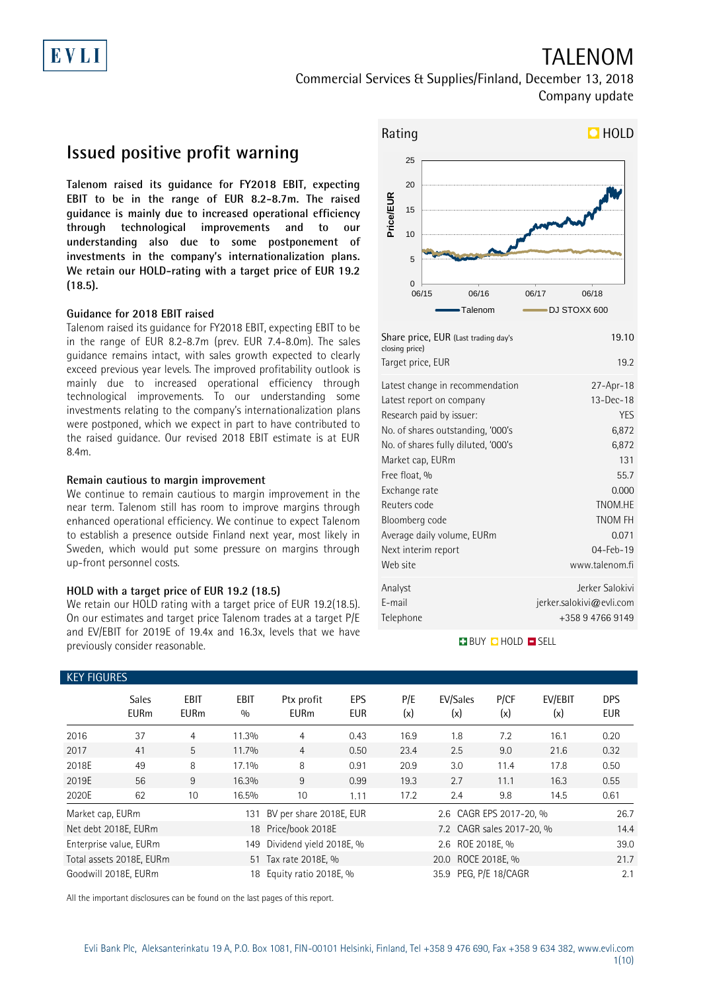

## TALENOM Commercial Services & Supplies/Finland, December 13, 2018 Company update

## **Issued positive profit warning**

**Talenom raised its guidance for FY2018 EBIT, expecting EBIT to be in the range of EUR 8.2-8.7m. The raised guidance is mainly due to increased operational efficiency through technological improvements and to our understanding also due to some postponement of investments in the company's internationalization plans. We retain our HOLD-rating with a target price of EUR 19.2 (18.5).**

### **Guidance for 2018 EBIT raised**

Talenom raised its guidance for FY2018 EBIT, expecting EBIT to be in the range of EUR 8.2-8.7m (prev. EUR 7.4-8.0m). The sales guidance remains intact, with sales growth expected to clearly exceed previous year levels. The improved profitability outlook is mainly due to increased operational efficiency through technological improvements. To our understanding some investments relating to the company's internationalization plans were postponed, which we expect in part to have contributed to the raised guidance. Our revised 2018 EBIT estimate is at EUR 8.4m.

### **Remain cautious to margin improvement**

We continue to remain cautious to margin improvement in the near term. Talenom still has room to improve margins through enhanced operational efficiency. We continue to expect Talenom to establish a presence outside Finland next year, most likely in Sweden, which would put some pressure on margins through up-front personnel costs.

### **HOLD with a target price of EUR 19.2 (18.5)**

We retain our HOLD rating with a target price of EUR 19.2(18.5). On our estimates and target price Talenom trades at a target P/E and EV/EBIT for 2019E of 19.4x and 16.3x, levels that we have previously consider reasonable.

### KEY FIGURES



| Share price, EUR (Last trading day's<br>closing price) | 19.10                       |
|--------------------------------------------------------|-----------------------------|
| Target price, EUR                                      | 19.2                        |
| Latest change in recommendation                        | 27-Apr-18                   |
| Latest report on company                               | 13-Dec-18                   |
| Research paid by issuer:                               | <b>YES</b>                  |
| No. of shares outstanding, '000's                      | 6,872                       |
| No. of shares fully diluted, '000's                    | 6,872                       |
| Market cap, EURm                                       | 131                         |
| Free float, %                                          | 55.7                        |
| Exchange rate                                          | 0.000                       |
| Reuters code                                           | TNOM.HE                     |
| Bloomberg code                                         | <b>TNOM FH</b>              |
| Average daily volume, EURm                             | 0.071                       |
| Next interim report                                    | 04-Feb-19                   |
| Web site                                               | www.talenom.fi              |
| Analyst                                                | Jerker Salokivi             |
| E-mail                                                 | $j$ erker.salokivi@evli.com |
| Telephone                                              | +358 9 4766 9149            |

### **BUY QHOLD SELL**

| KEY FIGURES      |                             |                            |                    |                             |                          |            |                           |             |                |                   |
|------------------|-----------------------------|----------------------------|--------------------|-----------------------------|--------------------------|------------|---------------------------|-------------|----------------|-------------------|
|                  | <b>Sales</b><br><b>EURm</b> | <b>EBIT</b><br><b>EURm</b> | <b>EBIT</b><br>0/0 | Ptx profit<br><b>EURm</b>   | <b>EPS</b><br><b>EUR</b> | P/E<br>(x) | EV/Sales<br>(x)           | P/CF<br>(x) | EV/EBIT<br>(x) | <b>DPS</b><br>EUR |
| 2016             | 37                          | 4                          | 11.3%              | 4                           | 0.43                     | 16.9       | 1.8                       | 7.2         | 16.1           | 0.20              |
| 2017             | 41                          | 5                          | 11.7%              | $\overline{4}$              | 0.50                     | 23.4       | 2.5                       | 9.0         | 21.6           | 0.32              |
| 2018E            | 49                          | 8                          | 17.1%              | 8                           | 0.91                     | 20.9       | 3.0                       | 11.4        | 17.8           | 0.50              |
| 2019E            | 56                          | 9                          | 16.3%              | 9                           | 0.99                     | 19.3       | 2.7                       | 11.1        | 16.3           | 0.55              |
| 2020E            | 62                          | 10                         | 16.5%              | 10                          | 1.11                     | 17.2       | 2.4                       | 9.8         | 14.5           | 0.61              |
| Market cap, EURm |                             |                            | 131                | BV per share 2018E, EUR     |                          |            | 2.6 CAGR EPS 2017-20, %   |             |                | 26.7              |
|                  | Net debt 2018E, EURm        |                            |                    | 18 Price/book 2018E         |                          |            | 7.2 CAGR sales 2017-20, % |             |                | 14.4              |
|                  | Enterprise value, EURm      |                            |                    | 149 Dividend yield 2018E, % | 2.6 ROE 2018E, %         |            |                           |             | 39.0           |                   |
|                  | Total assets 2018E, EURm    |                            |                    | 51 Tax rate 2018E, %        |                          |            | 20.0 ROCE 2018E, %        |             |                | 21.7              |
|                  | Goodwill 2018E, EURm        |                            | 18.                | Equity ratio 2018E, %       |                          |            | 35.9 PEG, P/E 18/CAGR     |             |                | 2.1               |

All the important disclosures can be found on the last pages of this report.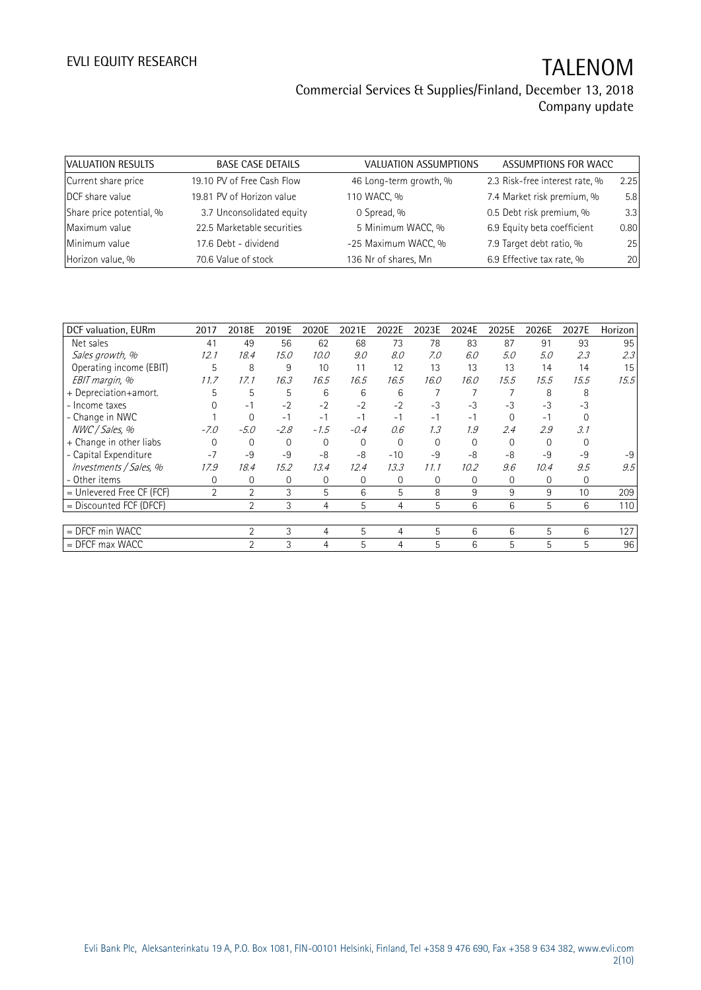| VALUATION RESULTS        | <b>BASE CASE DETAILS</b>   | VALUATION ASSUMPTIONS  | ASSUMPTIONS FOR WACC           |      |
|--------------------------|----------------------------|------------------------|--------------------------------|------|
| Current share price      | 19.10 PV of Free Cash Flow | 46 Long-term growth, % | 2.3 Risk-free interest rate, % | 2.25 |
| DCF share value          | 19.81 PV of Horizon value  | 110 WACC, %            | 7.4 Market risk premium, %     | 5.8  |
| Share price potential, % | 3.7 Unconsolidated equity  | 0 Spread, %            | 0.5 Debt risk premium, %       | 3.3  |
| Maximum value            | 22.5 Marketable securities | 5 Minimum WACC, %      | 6.9 Equity beta coefficient    | 0.80 |
| Minimum value            | 17.6 Debt - dividend       | -25 Maximum WACC, %    | 7.9 Target debt ratio, %       | 25   |
| Horizon value, %         | 70.6 Value of stock        | 136 Nr of shares, Mn   | 6.9 Effective tax rate, %      | 20   |

| DCF valuation, EURm       | 2017           | 2018E          | 2019E    | 2020E    | 2021E        | 2022E    | 2023E    | 2024E    | 2025E    | 2026E    | 2027E | Horizon |
|---------------------------|----------------|----------------|----------|----------|--------------|----------|----------|----------|----------|----------|-------|---------|
| Net sales                 | 41             | 49             | 56       | 62       | 68           | 73       | 78       | 83       | 87       | 91       | 93    | 95      |
| Sales growth, %           | 12.1           | 18.4           | 15.0     | 10.0     | 9.0          | 8.0      | 7.0      | 6.0      | 5.0      | 5.0      | 2.3   | 2.3     |
| Operating income (EBIT)   | 5              | 8              | 9        | 10       | 11           | 12       | 13       | 13       | 13       | 14       | 14    | 15      |
| EBIT margin, %            | 11.7           | 17.1           | 16.3     | 16.5     | 16.5         | 16.5     | 16.0     | 16.0     | 15.5     | 15.5     | 15.5  | 15.5    |
| + Depreciation+amort.     | 5              | 5              | 5        | 6        | 6            | 6        |          |          |          | 8        | 8     |         |
| - Income taxes            | $\Omega$       | $-1$           | $-2$     | $-2$     | $-2$         | $-2$     | $-3$     | $-3$     | $-3$     | $-3$     | $-3$  |         |
| - Change in NWC           |                | $\mathbf{0}$   | $-1$     | $-1$     | $-1$         | $-1$     | $-1$     | $-1$     | $\Omega$ | -1       | 0     |         |
| NWC / Sales, %            | $-7.0$         | $-5.0$         | $-2.8$   | $-1.5$   | $-0.4$       | 0.6      | 1.3      | 1.9      | 2.4      | 2.9      | 3.1   |         |
| + Change in other liabs   | $\Omega$       | $\mathbf 0$    | $\Omega$ | $\Omega$ | $\Omega$     | $\Omega$ | $\Omega$ | $\Omega$ | $\Omega$ | $\Omega$ |       |         |
| - Capital Expenditure     | $-7$           | $-9$           | $-9$     | -8       | -8           | $-10$    | $-9$     | -8       | $-8$     | -9       | $-9$  | $-9$    |
| Investments / Sales, %    | 17.9           | 18.4           | 15.2     | 13.4     | 12.4         | 13.3     | 11.1     | 10.2     | 9.6      | 10.4     | 9.5   | 9.5     |
| - Other items             | $\Omega$       | $\mathbf{0}$   | $\Omega$ | 0        | $\mathbf{0}$ | $\Omega$ | 0        | $\Omega$ | $\Omega$ | 0        | 0     |         |
| = Unlevered Free CF (FCF) | $\overline{2}$ | $\overline{2}$ | 3        | 5        | 6            | 5        | 8        | 9        | 9        | 9        | 10    | 209     |
| = Discounted FCF (DFCF)   |                | $\overline{2}$ | 3        | 4        | 5            | 4        | 5        | 6        | 6        | 5        | 6     | 110     |
|                           |                |                |          |          |              |          |          |          |          |          |       |         |
| = DFCF min WACC           |                | $\overline{2}$ | 3        | 4        | 5            | 4        | 5        | 6        | 6        | 5        | 6     | 127     |
| $=$ DFCF max WACC         |                | $\overline{2}$ | 3        | 4        | 5            | 4        | 5        | 6        | 5        | 5        | 5     | 96      |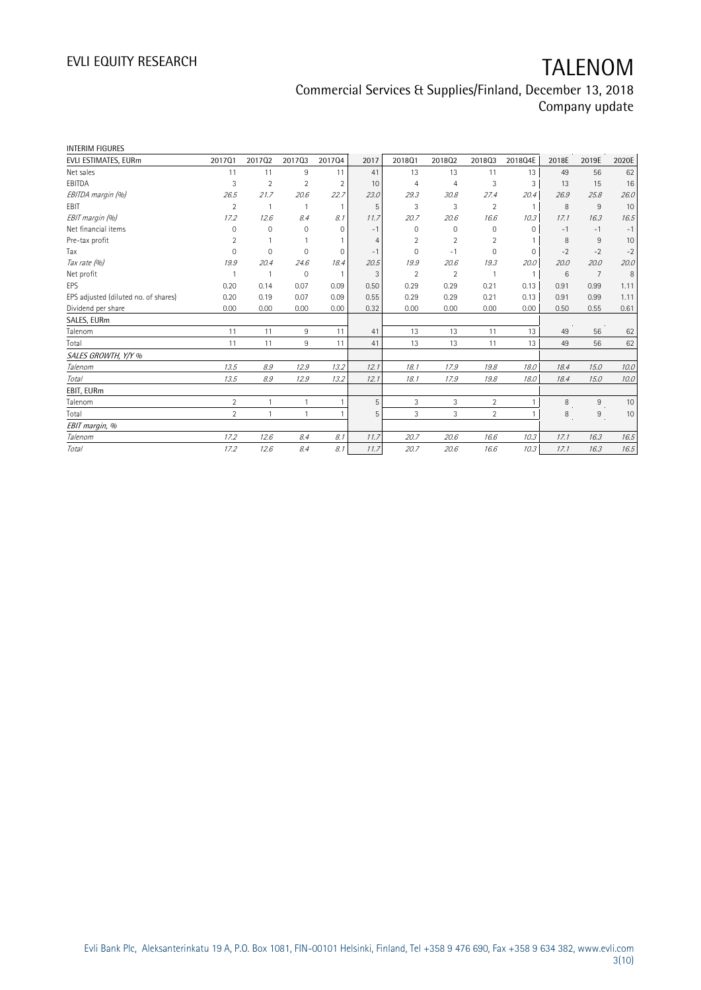| <b>INTERIM FIGURES</b>               |                |                |              |                |                |                |                |                |             |       |       |       |
|--------------------------------------|----------------|----------------|--------------|----------------|----------------|----------------|----------------|----------------|-------------|-------|-------|-------|
| EVLI ESTIMATES, EURm                 | 201701         | 201702         | 201703       | 201704         | 2017           | 2018Q1         | 201802         | 201803         | 2018Q4E     | 2018E | 2019E | 2020E |
| Net sales                            | 11             | 11             | 9            | 11             | 41             | 13             | 13             | 11             | 13          | 49    | 56    | 62    |
| EBITDA                               | 3              | $\overline{2}$ | 2            | $\overline{2}$ | 10             | $\overline{4}$ | $\overline{4}$ | 3              | 3           | 13    | 15    | 16    |
| EBITDA margin (%)                    | 26.5           | 21.7           | 20.6         | 22.7           | 23.0           | 29.3           | 30.8           | 27.4           | 20.4        | 26.9  | 25.8  | 26.0  |
| <b>EBIT</b>                          | $\overline{2}$ | $\overline{1}$ | $\mathbf{1}$ |                | 5              | 3              | 3              | $\overline{2}$ |             | 8     | 9     | 10    |
| EBIT margin (%)                      | 17.2           | 12.6           | 8.4          | 8.1            | 11.7           | 20.7           | 20.6           | 16.6           | 10.3        | 17.1  | 16.3  | 16.5  |
| Net financial items                  | $\Omega$       | $\mathbf 0$    | $\Omega$     | $\Omega$       | $-1$           | $\Omega$       | 0              | 0              | $\mathbf 0$ | $-1$  | $-1$  | $-1$  |
| Pre-tax profit                       | 2              |                |              |                | $\overline{4}$ | 2              | 2              | 2              |             | 8     | 9     | 10    |
| Tax                                  | 0              | $\mathbf 0$    | $\mathbf 0$  | $\mathbf 0$    | $-1$           | $\Omega$       | $-1$           | 0              | $\mathbf 0$ | $-2$  | $-2$  | $-2$  |
| Tax rate (%)                         | 19.9           | 20.4           | 24.6         | 18.4           | 20.5           | 19.9           | 20.6           | 19.3           | 20.0        | 20.0  | 20.0  | 20.0  |
| Net profit                           | $\mathbf{1}$   | $\overline{1}$ | $\mathbf 0$  |                | 3              | $\overline{2}$ | $\overline{2}$ |                |             | 6     | 7     | 8     |
| EPS                                  | 0.20           | 0.14           | 0.07         | 0.09           | 0.50           | 0.29           | 0.29           | 0.21           | 0.13        | 0.91  | 0.99  | 1.11  |
| EPS adjusted (diluted no. of shares) | 0.20           | 0.19           | 0.07         | 0.09           | 0.55           | 0.29           | 0.29           | 0.21           | 0.13        | 0.91  | 0.99  | 1.11  |
| Dividend per share                   | 0.00           | 0.00           | 0.00         | 0.00           | 0.32           | 0.00           | 0.00           | 0.00           | 0.00        | 0.50  | 0.55  | 0.61  |
| SALES, EURm                          |                |                |              |                |                |                |                |                |             |       |       |       |
| Talenom                              | 11             | 11             | 9            | 11             | 41             | 13             | 13             | 11             | 13          | 49    | 56    | 62    |
| Total                                | 11             | 11             | 9            | 11             | 41             | 13             | 13             | 11             | 13          | 49    | 56    | 62    |
| SALES GROWTH, Y/Y %                  |                |                |              |                |                |                |                |                |             |       |       |       |
| Talenom                              | 13.5           | 8.9            | 12.9         | 13.2           | 12.1           | 18.1           | 17.9           | 19.8           | 18.0        | 18.4  | 15.0  | 10.0  |
| <b>Total</b>                         | 13.5           | 8.9            | 12.9         | 13.2           | 12.1           | 18.1           | 17.9           | 19.8           | 18.0        | 18.4  | 15.0  | 10.0  |
| EBIT, EURm                           |                |                |              |                |                |                |                |                |             |       |       |       |
| Talenom                              | $\overline{2}$ | $\mathbf{1}$   | 1            |                | 5 <sub>1</sub> | 3              | 3              | $\overline{2}$ |             | 8     | 9     | 10    |
| Total                                | $\overline{2}$ | $\mathbf{1}$   | 1            |                | 5              | 3              | 3              | $\overline{2}$ |             | 8     | 9     | 10    |
| EBIT margin, %                       |                |                |              |                |                |                |                |                |             |       |       |       |
| Talenom                              | 17.2           | 12.6           | 8.4          | 8.1            | 11.7           | 20.7           | 20.6           | 16.6           | 10.3        | 17.1  | 16.3  | 16.5  |
| Total                                | 17.2           | 12.6           | 8.4          | 8.1            | 11.7           | 20.7           | 20.6           | 16.6           | 10.3        | 17.1  | 16.3  | 16.5  |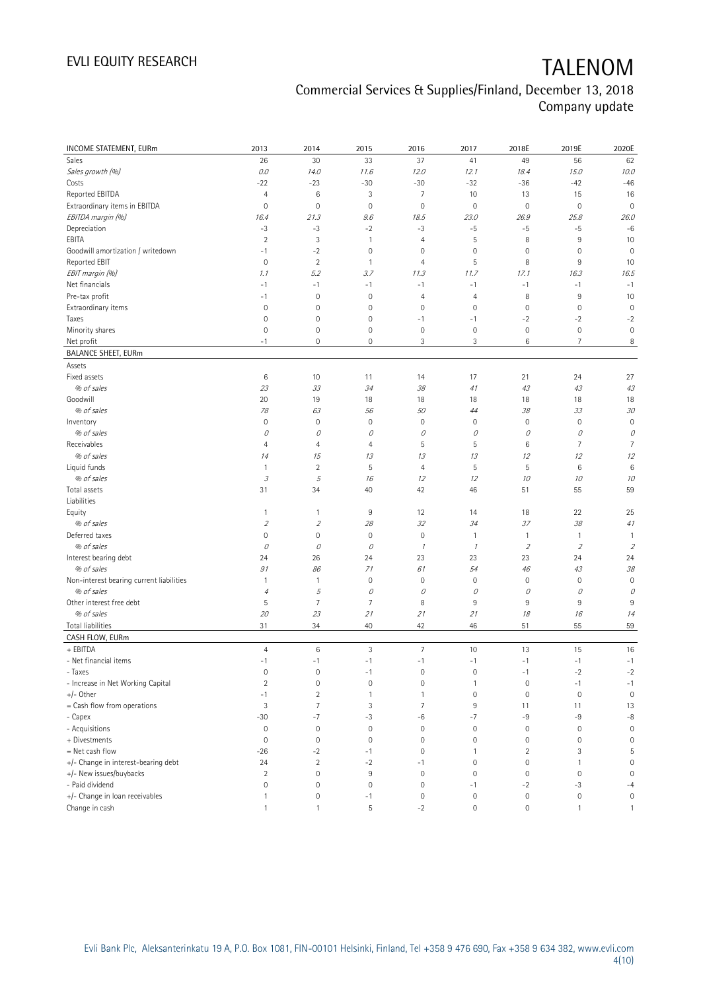| INCOME STATEMENT, EURm                   | 2013                                    | 2014           | 2015                | 2016           | 2017           | 2018E               | 2019E                       | 2020E          |
|------------------------------------------|-----------------------------------------|----------------|---------------------|----------------|----------------|---------------------|-----------------------------|----------------|
| Sales                                    | 26                                      | 30             | 33                  | 37             | 41             | 49                  | 56                          | 62             |
| Sales growth (%)                         | 0.0                                     | 14.0           | 11.6                | 12.0           | 12.1           | 18.4                | 15.0                        | 10.0           |
| Costs                                    | $-22$                                   | $-23$          | $-30$               | $-30$          | $-32$          | $-36$               | $-42$                       | $-46$          |
| Reported EBITDA                          | $\overline{4}$                          | 6              | 3                   | 7              | 10             | 13                  | 15                          | 16             |
| Extraordinary items in EBITDA            | $\mathbf 0$                             | $\mathbf 0$    | $\mathsf{O}\xspace$ | $\mathbf 0$    | $\mathbf 0$    | $\mathbf 0$         | $\mathbf 0$                 | $\mathbf 0$    |
| EBITDA margin (%)                        | 16.4                                    | 21.3           | 9.6                 | 18.5           | 23.0           | 26.9                | 25.8                        | 26.0           |
| Depreciation                             | $-3$                                    | $-3$           | $-2$                | $-3$           | $-5$           | $-5$                | $-5$                        | $-6$           |
| EBITA                                    | $\overline{2}$                          | 3              | $\mathbf{1}$        | $\overline{4}$ | 5              | 8                   | 9                           | 10             |
| Goodwill amortization / writedown        | $-1$                                    | $-2$           | $\mathsf{O}\xspace$ | 0              | $\mathbf 0$    | $\mathbf 0$         | 0                           | $\mathbf 0$    |
| Reported EBIT                            | $\mathsf{O}\xspace$                     | $\sqrt{2}$     | 1                   | 4              | 5              | 8                   | 9                           | 10             |
| EBIT margin (%)                          | 1.1                                     | 5.2            | 3.7                 | 11.3           | 11.7           | 17.1                | 16.3                        | 16.5           |
| Net financials                           | $-1$                                    | $-1$           | $-1$                | $-1$           | $-1$           | $-1$                | $-1$                        | $-1$           |
| Pre-tax profit                           | $-1$                                    | $\mathbf 0$    | $\mathbf 0$         | $\overline{4}$ | $\overline{4}$ | 8                   | 9                           | 10             |
| Extraordinary items                      | $\mathsf{O}\xspace$                     | $\mathbf 0$    | $\mathsf{O}\xspace$ | 0              | $\mathbf 0$    | $\mathbf 0$         | $\mathbf 0$                 | $\mathbf 0$    |
| Taxes                                    | $\mathsf{O}\xspace$                     | $\mathbf 0$    | $\mathsf{O}\xspace$ | $-1$           | $-1$           | $-2$                | $-2$                        | $-2$           |
| Minority shares                          | 0                                       | $\mathbf 0$    | 0                   | $\overline{0}$ | $\mathbb O$    | $\mathbb O$         | $\mathbb O$                 | $\mathbf 0$    |
| Net profit                               | $-1$                                    | $\mathbf 0$    | $\mathsf{O}\xspace$ | 3              | 3              | 6                   | 7                           | 8              |
| <b>BALANCE SHEET, EURm</b>               |                                         |                |                     |                |                |                     |                             |                |
| Assets                                   |                                         |                |                     |                |                |                     |                             |                |
| Fixed assets                             | $\,6$                                   | 10             | 11                  | 14             | 17             | 21                  | 24                          | 27             |
| % of sales                               | 23                                      | 33             | 34                  | 38             | 41             | 43                  | 43                          | 43             |
| Goodwill                                 | 20                                      | 19             | 18                  | 18             | 18             | 18                  | 18                          | 18             |
| % of sales                               | 78                                      | 63             | 56                  | 50             | 44             | 38                  | 33                          | 30             |
| Inventory                                | $\mathsf{O}\xspace$                     | $\mathbf 0$    | $\mathsf{O}\xspace$ | 0              | $\mathbf 0$    | $\mathbb O$         | $\mathbf 0$                 | $\mathbf 0$    |
| % of sales                               | 0                                       | 0              | 0                   | 0              | 0              | 0                   | 0                           | 0              |
| Receivables                              | $\overline{4}$                          | $\overline{4}$ | $\overline{4}$      | 5              | 5              | $6\,$               | $\overline{7}$              | 7              |
| % of sales                               | 14                                      | 15             | 13                  | 13             | 13             | 12                  | 12                          | 12             |
| Liquid funds                             | $\mathbf{1}$                            | $\sqrt{2}$     | 5                   | $\overline{4}$ | 5              | 5                   | 6                           | $\,6$          |
| % of sales                               | $\ensuremath{\mathcal{S}}$              | 5              | 16                  | 12             | 12             | 10                  | 10                          | 10             |
| Total assets                             | 31                                      | 34             | 40                  | 42             | 46             | 51                  | 55                          | 59             |
| Liabilities                              |                                         |                |                     |                |                |                     |                             |                |
| Equity                                   | $\mathbf{1}$                            | 1              | 9                   | 12             | 14             | 18                  | 22                          | 25             |
| % of sales                               | $\overline{2}$                          | $\overline{2}$ | 28                  | 32             | 34             | 37                  | 38                          | 41             |
| Deferred taxes                           | $\circ$                                 | $\mathbf 0$    | $\mathbb O$         | $\mathbf 0$    | $\mathbf{1}$   | $\mathbf{1}$        | 1                           | $\overline{1}$ |
| % of sales                               | 0                                       | 0              | 0                   | $\cal I$       | $\mathcal I$   | $\overline{2}$      | $\mathcal{L}_{\mathcal{L}}$ | $\overline{2}$ |
| Interest bearing debt                    | 24                                      | 26             | 24                  | 23             | 23             | 23                  | 24                          | 24             |
| % of sales                               | 91                                      | 86             | 71                  | 61             | 54             | 46                  | 43                          | 38             |
| Non-interest bearing current liabilities | $\mathbf{1}$                            | $\mathbf{1}$   | $\mathbf 0$         | 0              | $\mathbf 0$    | $\mathbf 0$         | $\mathbf 0$                 | $\mathbf 0$    |
| % of sales                               | $\ensuremath{\mathnormal{\mathcal{A}}}$ | 5              | 0                   | 0              | 0              | $\mathcal O$        | 0                           | 0              |
| Other interest free debt                 | 5                                       | $\overline{7}$ | $\overline{7}$      | 8              | 9              | 9                   | 9                           | 9              |
| % of sales                               | 20                                      | 23             | 21                  | 21             | 21             | 18                  | 16                          | 14             |
| Total liabilities                        | 31                                      | 34             | 40                  | 42             | 46             | 51                  | 55                          | 59             |
| CASH FLOW, EURm                          |                                         |                |                     |                |                |                     |                             |                |
| + EBITDA                                 | $\overline{4}$                          | $\,6\,$        | 3                   | $\overline{7}$ | 10             | 13                  | 15                          | 16             |
| - Net financial items                    | $-1$                                    | $-1$           | $-1$                | $-1$           | $-1$           | $-1$                | $-1$                        | $-1$           |
| - Taxes                                  | $\mathsf{O}\xspace$                     | $\mathbf 0$    | $-1$                | 0              | $\mathbf 0$    | $-1$                | $-2$                        | $^{\rm -2}$    |
| - Increase in Net Working Capital        | $\overline{2}$                          | $\mathbf 0$    | $\mathsf{O}\xspace$ | 0              | $\mathbf{1}$   | $\mathbb O$         | $-1$                        | $-1$           |
| $+/-$ Other                              | $-1$                                    | $\sqrt{2}$     | $\mathbf{1}$        | 1              | $\mathbf 0$    | $\mathbf 0$         | $\mathbf 0$                 | $\mathbf 0$    |
| = Cash flow from operations              | $\sqrt{3}$                              | $\overline{7}$ | 3                   | 7              | $9\,$          | 11                  | 11                          | 13             |
| - Capex                                  | $-30$                                   | $-7$           | $-3$                | -6             | $-7$           | $-9$                | $-9$                        | $-8$           |
| - Acquisitions                           | $\circ$                                 | $\mathbf 0$    | $\mathbf 0$         | 0              | $\mathbf 0$    | $\mathbb O$         | $\mathbf 0$                 | $\mathbf 0$    |
| + Divestments                            | $\mathsf{O}\xspace$                     | $\mathbf 0$    | $\mathbf 0$         | 0              | $\mathbf 0$    | $\mathbf 0$         | 0                           | $\mathbf 0$    |
| $=$ Net cash flow                        | $-26$                                   | $-2$           | $-1$                | 0              | 1              | $\sqrt{2}$          | 3                           | 5              |
| +/- Change in interest-bearing debt      | 24                                      | $\sqrt{2}$     | $-2$                | $-1$           | $\mathbf 0$    | $\mathsf{O}\xspace$ | 1                           | $\mathbf 0$    |
| +/- New issues/buybacks                  | $\overline{2}$                          | $\mathbf 0$    | 9                   | 0              | $\mathbf 0$    | $\mathbf 0$         | $\mathbf 0$                 | $\mathbf 0$    |
| - Paid dividend                          | $\mathsf{O}\xspace$                     | $\mathbf 0$    | $\mathbb O$         | $\mathbf 0$    | $-1$           | $-2$                | $-3$                        | $-4$           |
| +/- Change in loan receivables           | $\mathbf{1}$                            | $\mathbf 0$    | $-1$                | $\mathbf 0$    | $\mathbb O$    | $\mathbb O$         | $\boldsymbol{0}$            | $\mathbf 0$    |
| Change in cash                           | $\mathbf{1}$                            | $\mathbf{1}$   | 5                   | $-2$           | $\mathbf 0$    | $\mathsf{O}\xspace$ | $\mathbf{1}$                | $\mathbf{1}$   |
|                                          |                                         |                |                     |                |                |                     |                             |                |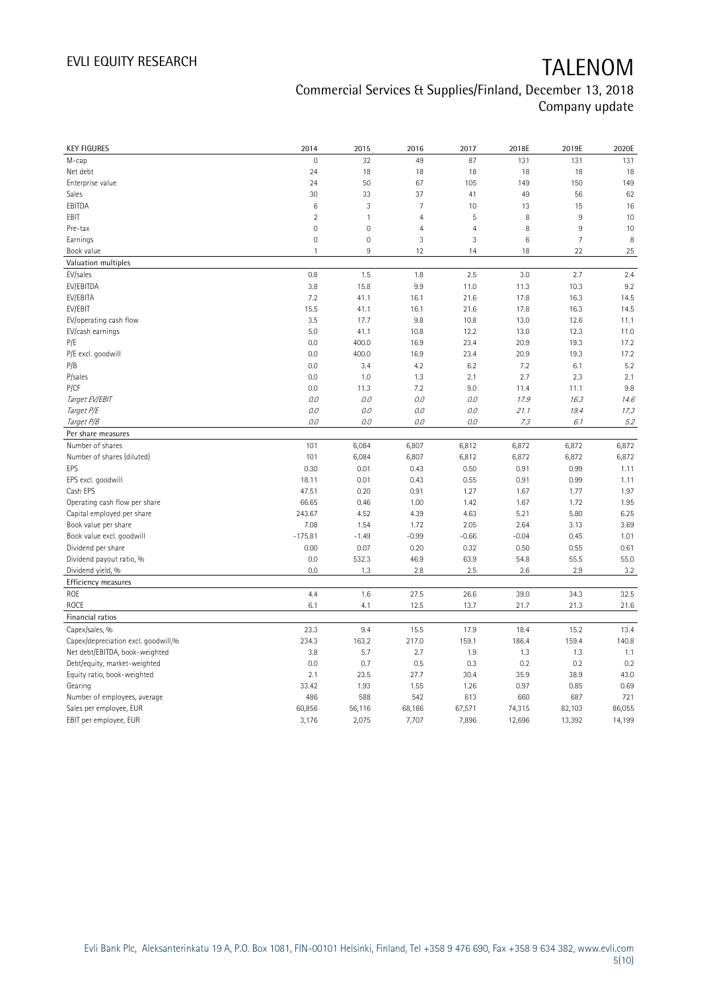| <b>KEY FIGURES</b>                  | 2014                | 2015         | 2016           | 2017           | 2018E           | 2019E  | 2020E  |
|-------------------------------------|---------------------|--------------|----------------|----------------|-----------------|--------|--------|
| М-сар                               | $\mathbf 0$         | 32           | 49             | 87             | 131             | 131    | 131    |
| Net debt                            | 24                  | 18           | 18             | 18             | 18              | 18     | 18     |
| Enterprise value                    | 24                  | 50           | 67             | 105            | 149             | 150    | 149    |
| Sales                               | 30                  | 33           | 37             | 41             | 49              | 56     | 62     |
| EBITDA                              | 6                   | 3            | 7              | 10             | 13              | 15     | 16     |
| EBIT                                | $\overline{2}$      | $\mathbf{1}$ | $\overline{4}$ | 5              | 8               | $9\,$  | 10     |
| Pre-tax                             | $\overline{0}$      | $\mathbf 0$  | $\overline{4}$ | $\overline{4}$ | 8               | 9      | 10     |
| Earnings                            | $\mathsf{O}\xspace$ | $\mathbf 0$  | 3              | 3              | $6\phantom{1}6$ | 7      | 8      |
| Book value                          | $\mathbf{1}$        | 9            | 12             | 14             | 18              | 22     | 25     |
| Valuation multiples                 |                     |              |                |                |                 |        |        |
| EV/sales                            | 0.8                 | 1.5          | 1.8            | 2.5            | 3.0             | 2.7    | 2.4    |
| EV/EBITDA                           | 3.8                 | 15.8         | 9.9            | 11.0           | 11.3            | 10.3   | 9.2    |
| EV/EBITA                            | 7.2                 | 41.1         | 16.1           | 21.6           | 17.8            | 16.3   | 14.5   |
| EV/EBIT                             | 15.5                | 41.1         | 16.1           | 21.6           | 17.8            | 16.3   | 14.5   |
| EV/operating cash flow              | 3.5                 | 17.7         | 9.8            | 10.8           | 13.0            | 12.6   | 11.1   |
| EV/cash earnings                    | 5.0                 | 41.1         | 10.8           | 12.2           | 13.0            | 12.3   | 11.0   |
| P/E                                 | 0.0                 | 400.0        | 16.9           | 23.4           | 20.9            | 19.3   | 17.2   |
| P/E excl. goodwill                  | 0.0                 | 400.0        | 16.9           | 23.4           | 20.9            | 19.3   | 17.2   |
| P/B                                 | 0.0                 | 3.4          | 4.2            | 6.2            | 7.2             | 6.1    | 5.2    |
| P/sales                             | 0.0                 | 1.0          | 1.3            | 2.1            | 2.7             | 2.3    | 2.1    |
| <b>P/CF</b>                         | 0.0                 | 11.3         | 7.2            | 9.0            | 11.4            | 11.1   | 9.8    |
| Target EV/EBIT                      | O.O                 | 0.0          | 0.0            | 0.0            | 17.9            | 16.3   | 14.6   |
| Target P/E                          | 0.0                 | 0.0          | 0.0            | 0.0            | 21.1            | 19.4   | 17.3   |
| Target P/B                          | O.O                 | 0.0          | 0.0            | 0.0            | 7.3             | 6.1    | 5.2    |
| Per share measures                  |                     |              |                |                |                 |        |        |
| Number of shares                    | 101                 | 6,084        | 6,807          | 6,812          | 6,872           | 6,872  | 6,872  |
| Number of shares (diluted)          | 101                 | 6,084        | 6,807          | 6,812          | 6,872           | 6,872  | 6,872  |
| EPS                                 | 0.30                | 0.01         | 0.43           | 0.50           | 0.91            | 0.99   | 1.11   |
| EPS excl. goodwill                  | 18.11               | 0.01         | 0.43           | 0.55           | 0.91            | 0.99   | 1.11   |
| Cash EPS                            | 47.51               | 0.20         | 0.91           | 1.27           | 1.67            | 1.77   | 1.97   |
| Operating cash flow per share       | 66.65               | 0.46         | 1.00           | 1.42           | 1.67            | 1.72   | 1.95   |
| Capital employed per share          | 243.67              | 4.52         | 4.39           | 4.63           | 5.21            | 5.80   | 6.25   |
| Book value per share                | 7.08                | 1.54         | 1.72           | 2.05           | 2.64            | 3.13   | 3.69   |
| Book value excl. goodwill           | $-175.81$           | $-1.49$      | $-0.99$        | $-0.66$        | $-0.04$         | 0.45   | 1.01   |
| Dividend per share                  | 0.00                | 0.07         | 0.20           | 0.32           | 0.50            | 0.55   | 0.61   |
| Dividend payout ratio, %            | 0.0                 | 532.3        | 46.9           | 63.9           | 54.8            | 55.5   | 55.0   |
| Dividend yield, %                   | 0.0                 | 1.3          | 2.8            | 2.5            | 2.6             | 2.9    | 3.2    |
| Efficiency measures                 |                     |              |                |                |                 |        |        |
| ROE                                 | 4.4                 | 1.6          | 27.5           | 26.6           | 39.0            | 34.3   | 32.5   |
| <b>ROCE</b>                         | 6.1                 | 4.1          | 12.5           | 13.7           | 21.7            | 21.3   | 21.6   |
| Financial ratios                    |                     |              |                |                |                 |        |        |
| Capex/sales, %                      | 23.3                | 9.4          | 15.5           | 17.9           | 18.4            | 15.2   | 13.4   |
| Capex/depreciation excl. goodwill,% | 234.3               | 163.2        | 217.0          | 159.1          | 186.4           | 159.4  | 140.8  |
| Net debt/EBITDA, book-weighted      | 3.8                 | 5.7          | 2.7            | 1.9            | 1.3             | 1.3    | 1.1    |
| Debt/equity, market-weighted        | 0.0                 | 0.7          | 0.5            | 0.3            | 0.2             | 0.2    | 0.2    |
| Equity ratio, book-weighted         | 2.1                 | 23.5         | 27.7           | 30.4           | 35.9            | 38.9   | 43.0   |
| Gearing                             | 33.42               | 1.93         | 1.55           | 1.26           | 0.97            | 0.85   | 0.69   |
| Number of employees, average        | 486                 | 588          | 542            | 613            | 660             | 687    | 721    |
| Sales per employee, EUR             | 60,856              | 56,116       | 68,186         | 67,571         | 74,315          | 82,103 | 86,055 |
| EBIT per employee, EUR              | 3,176               | 2,075        | 7,707          | 7,896          | 12,696          | 13,392 | 14,199 |
|                                     |                     |              |                |                |                 |        |        |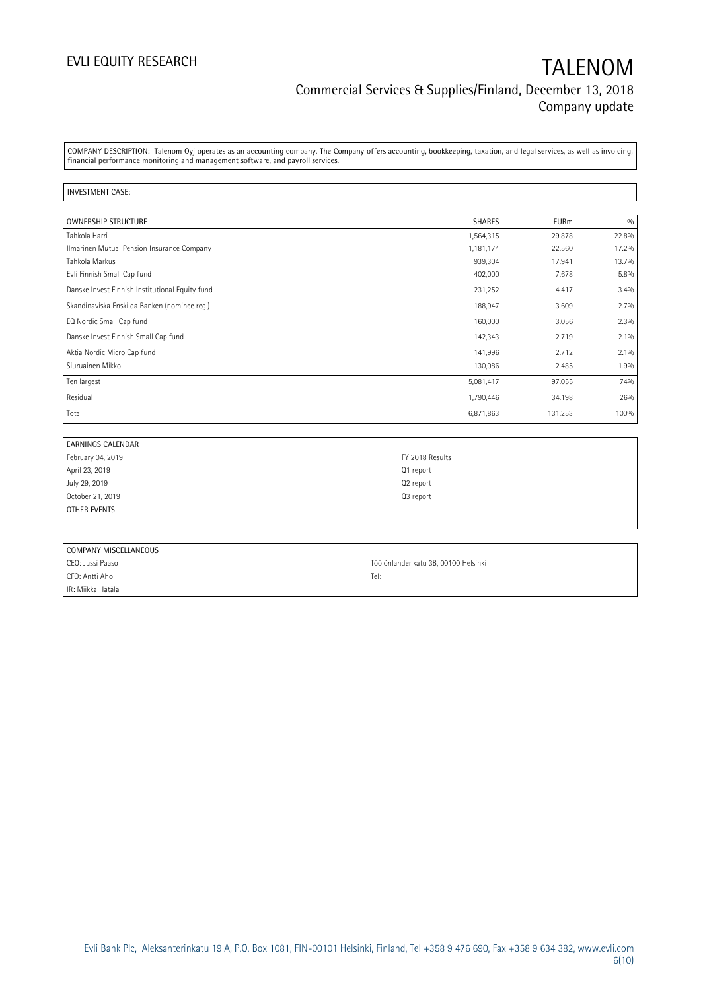# EVLI EQUITY RESEARCH **TALENOM** Commercial Services & Supplies/Finland, December 13, 2018 Company update

COMPANY DESCRIPTION: Talenom Oyj operates as an accounting company. The Company offers accounting, bookkeeping, taxation, and legal services, as well as invoicing, financial performance monitoring and management software, and payroll services.

### INVESTMENT CASE:

| <b>OWNERSHIP STRUCTURE</b>                      | <b>SHARES</b> | <b>EURm</b> | 0/0   |
|-------------------------------------------------|---------------|-------------|-------|
| Tahkola Harri                                   | 1,564,315     | 29.878      | 22.8% |
| Ilmarinen Mutual Pension Insurance Company      | 1,181,174     | 22.560      | 17.2% |
| Tahkola Markus                                  | 939,304       | 17.941      | 13.7% |
| Evli Finnish Small Cap fund                     | 402,000       | 7.678       | 5.8%  |
| Danske Invest Finnish Institutional Equity fund | 231,252       | 4.417       | 3.4%  |
| Skandinaviska Enskilda Banken (nominee reg.)    | 188,947       | 3.609       | 2.7%  |
| EQ Nordic Small Cap fund                        | 160,000       | 3.056       | 2.3%  |
| Danske Invest Finnish Small Cap fund            | 142,343       | 2.719       | 2.1%  |
| Aktia Nordic Micro Cap fund                     | 141,996       | 2.712       | 2.1%  |
| Siuruainen Mikko                                | 130,086       | 2.485       | 1.9%  |
| Ten largest                                     | 5,081,417     | 97.055      | 74%   |
| Residual                                        | 1,790,446     | 34.198      | 26%   |
| Total                                           | 6,871,863     | 131.253     | 100%  |

| <b>EARNINGS CALENDAR</b> |                 |
|--------------------------|-----------------|
| February 04, 2019        | FY 2018 Results |
| April 23, 2019           | Q1 report       |
| July 29, 2019            | Q2 report       |
| October 21, 2019         | Q3 report       |
| OTHER EVENTS             |                 |
|                          |                 |
|                          |                 |
|                          |                 |

| COMPANY MISCELLANEOUS |                                     |
|-----------------------|-------------------------------------|
| CEO: Jussi Paaso      | Töölönlahdenkatu 3B, 00100 Helsinki |
| CFO: Antti Aho        | Tel:                                |
| IR: Miikka Hätälä     |                                     |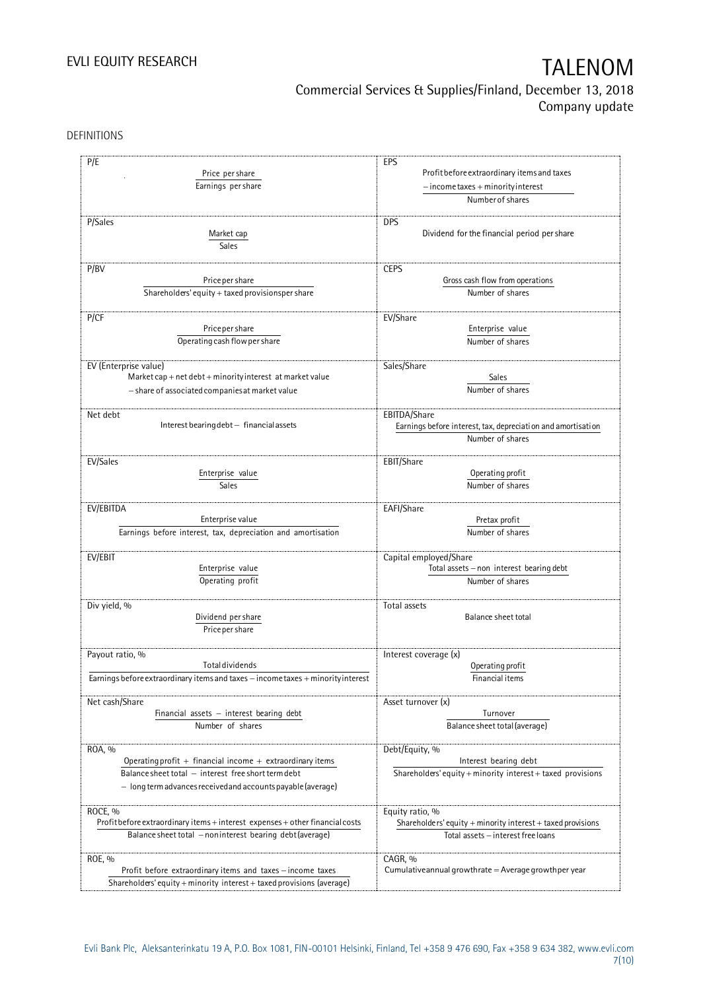# EVLI EQUITY RESEARCH **TALENOM** Commercial Services & Supplies/Finland, December 13, 2018 Company update

DEFINITIONS

| P/E                                                                              | EPS                                                          |
|----------------------------------------------------------------------------------|--------------------------------------------------------------|
| Price per share                                                                  | Profit before extraordinary items and taxes                  |
| Earnings per share                                                               |                                                              |
|                                                                                  | $-$ income taxes + minority interest                         |
|                                                                                  | Number of shares                                             |
| P/Sales                                                                          | <b>DPS</b>                                                   |
|                                                                                  | Dividend for the financial period per share                  |
| Market cap                                                                       |                                                              |
| <b>Sales</b>                                                                     |                                                              |
|                                                                                  |                                                              |
| P/BV                                                                             | <b>CEPS</b>                                                  |
| Price per share                                                                  | Gross cash flow from operations                              |
| Shareholders' equity + taxed provisionsper share                                 | Number of shares                                             |
|                                                                                  |                                                              |
| P/CF                                                                             | EV/Share                                                     |
| Price per share                                                                  | Enterprise value                                             |
| Operating cash flow per share                                                    | Number of shares                                             |
|                                                                                  |                                                              |
| EV (Enterprise value)                                                            | Sales/Share                                                  |
| Market cap + net debt + minority interest at market value                        | <b>Sales</b>                                                 |
| - share of associated companies at market value                                  | Number of shares                                             |
|                                                                                  |                                                              |
| Net debt                                                                         | EBITDA/Share                                                 |
| Interest bearing debt - financial assets                                         | Earnings before interest, tax, depreciation and amortisation |
|                                                                                  | Number of shares                                             |
|                                                                                  |                                                              |
| EV/Sales                                                                         | EBIT/Share                                                   |
| Enterprise value                                                                 | Operating profit                                             |
| Sales                                                                            | Number of shares                                             |
|                                                                                  |                                                              |
| EV/EBITDA                                                                        | EAFI/Share                                                   |
| Enterprise value                                                                 | Pretax profit                                                |
| Earnings before interest, tax, depreciation and amortisation                     | Number of shares                                             |
|                                                                                  |                                                              |
| EV/EBIT                                                                          | Capital employed/Share                                       |
| Enterprise value                                                                 | Total assets - non interest bearing debt                     |
| Operating profit                                                                 | Number of shares                                             |
|                                                                                  |                                                              |
| Div yield, %                                                                     | Total assets                                                 |
| Dividend per share                                                               | Balance sheet total                                          |
| Price per share                                                                  |                                                              |
|                                                                                  |                                                              |
| Payout ratio, %                                                                  | Interest coverage (x)                                        |
| <b>Total dividends</b>                                                           | Operating profit                                             |
| Earnings before extraordinary items and taxes - income taxes + minority interest |                                                              |
|                                                                                  | Financial items                                              |
| Net cash/Share                                                                   | Asset turnover (x)                                           |
|                                                                                  | Turnover                                                     |
| Financial assets $-$ interest bearing debt                                       |                                                              |
| Number of shares                                                                 | Balance sheet total (average)                                |
|                                                                                  |                                                              |
| ROA, %                                                                           | Debt/Equity, %                                               |
| Operating profit $+$ financial income $+$ extraordinary items                    | Interest bearing debt                                        |
| Balance sheet total - interest free short term debt                              | Shareholders' equity + minority interest + taxed provisions  |
| - long term advances received and accounts payable (average)                     |                                                              |
|                                                                                  |                                                              |
| ROCE, %                                                                          | Equity ratio, %                                              |
| Profit before extraordinary items + interest expenses + other financial costs    | Shareholders' equity + minority interest + taxed provisions  |
| Balance sheet total - noninterest bearing debt (average)                         | Total assets - interest free loans                           |
|                                                                                  |                                                              |
| ROE, %                                                                           | CAGR, %                                                      |
| Profit before extraordinary items and taxes - income taxes                       | Cumulative annual growth rate $=$ Average growth per year    |
| Shareholders' equity + minority interest + taxed provisions (average)            |                                                              |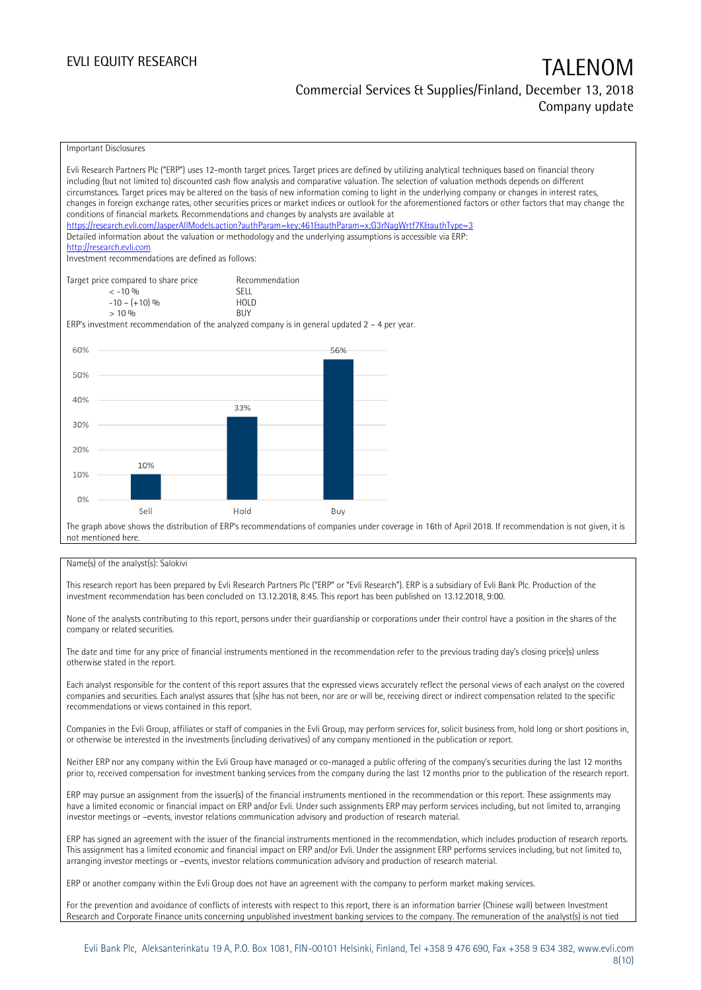## EVLI EQUITY RESEARCH TALENOMENT CONTROLLED TALENOM

# Commercial Services & Supplies/Finland, December 13, 2018 Company update

| Important Disclosures                                                                                                                                                                                                                                                                                                                                                                                                                                                                                                                                                                                                                                                                                                                                                                                                                                                                                                                                                                                                                       |                            |     |  |  |
|---------------------------------------------------------------------------------------------------------------------------------------------------------------------------------------------------------------------------------------------------------------------------------------------------------------------------------------------------------------------------------------------------------------------------------------------------------------------------------------------------------------------------------------------------------------------------------------------------------------------------------------------------------------------------------------------------------------------------------------------------------------------------------------------------------------------------------------------------------------------------------------------------------------------------------------------------------------------------------------------------------------------------------------------|----------------------------|-----|--|--|
| Evli Research Partners Plc ("ERP") uses 12-month target prices. Target prices are defined by utilizing analytical techniques based on financial theory<br>including (but not limited to) discounted cash flow analysis and comparative valuation. The selection of valuation methods depends on different<br>circumstances. Target prices may be altered on the basis of new information coming to light in the underlying company or changes in interest rates,<br>changes in foreign exchange rates, other securities prices or market indices or outlook for the aforementioned factors or other factors that may change the<br>conditions of financial markets. Recommendations and changes by analysts are available at<br>https://research.evli.com/JasperAllModels.action?authParam=key;461&tauthParam=x;G3rNaqWrtf7K&tauthType=3<br>Detailed information about the valuation or methodology and the underlying assumptions is accessible via ERP:<br>http://research.evli.com<br>Investment recommendations are defined as follows: |                            |     |  |  |
| Target price compared to share price                                                                                                                                                                                                                                                                                                                                                                                                                                                                                                                                                                                                                                                                                                                                                                                                                                                                                                                                                                                                        | Recommendation             |     |  |  |
| $< -10\%$<br>$-10 - (+10)$ %                                                                                                                                                                                                                                                                                                                                                                                                                                                                                                                                                                                                                                                                                                                                                                                                                                                                                                                                                                                                                | <b>SELL</b><br><b>HOLD</b> |     |  |  |
| $> 10\%$                                                                                                                                                                                                                                                                                                                                                                                                                                                                                                                                                                                                                                                                                                                                                                                                                                                                                                                                                                                                                                    | <b>BUY</b>                 |     |  |  |
| ERP's investment recommendation of the analyzed company is in general updated $2 - 4$ per year.                                                                                                                                                                                                                                                                                                                                                                                                                                                                                                                                                                                                                                                                                                                                                                                                                                                                                                                                             |                            |     |  |  |
|                                                                                                                                                                                                                                                                                                                                                                                                                                                                                                                                                                                                                                                                                                                                                                                                                                                                                                                                                                                                                                             |                            |     |  |  |
| 60%                                                                                                                                                                                                                                                                                                                                                                                                                                                                                                                                                                                                                                                                                                                                                                                                                                                                                                                                                                                                                                         |                            | 56% |  |  |
|                                                                                                                                                                                                                                                                                                                                                                                                                                                                                                                                                                                                                                                                                                                                                                                                                                                                                                                                                                                                                                             |                            |     |  |  |
| 50%                                                                                                                                                                                                                                                                                                                                                                                                                                                                                                                                                                                                                                                                                                                                                                                                                                                                                                                                                                                                                                         |                            |     |  |  |
| 40%                                                                                                                                                                                                                                                                                                                                                                                                                                                                                                                                                                                                                                                                                                                                                                                                                                                                                                                                                                                                                                         |                            |     |  |  |
|                                                                                                                                                                                                                                                                                                                                                                                                                                                                                                                                                                                                                                                                                                                                                                                                                                                                                                                                                                                                                                             | 33%                        |     |  |  |
| 30%                                                                                                                                                                                                                                                                                                                                                                                                                                                                                                                                                                                                                                                                                                                                                                                                                                                                                                                                                                                                                                         |                            |     |  |  |
|                                                                                                                                                                                                                                                                                                                                                                                                                                                                                                                                                                                                                                                                                                                                                                                                                                                                                                                                                                                                                                             |                            |     |  |  |
| 20%                                                                                                                                                                                                                                                                                                                                                                                                                                                                                                                                                                                                                                                                                                                                                                                                                                                                                                                                                                                                                                         |                            |     |  |  |
| 10%                                                                                                                                                                                                                                                                                                                                                                                                                                                                                                                                                                                                                                                                                                                                                                                                                                                                                                                                                                                                                                         |                            |     |  |  |
| 10%                                                                                                                                                                                                                                                                                                                                                                                                                                                                                                                                                                                                                                                                                                                                                                                                                                                                                                                                                                                                                                         |                            |     |  |  |
|                                                                                                                                                                                                                                                                                                                                                                                                                                                                                                                                                                                                                                                                                                                                                                                                                                                                                                                                                                                                                                             |                            |     |  |  |
| 0%<br>Sell                                                                                                                                                                                                                                                                                                                                                                                                                                                                                                                                                                                                                                                                                                                                                                                                                                                                                                                                                                                                                                  | Hold                       | Buy |  |  |
|                                                                                                                                                                                                                                                                                                                                                                                                                                                                                                                                                                                                                                                                                                                                                                                                                                                                                                                                                                                                                                             |                            |     |  |  |
| The graph above shows the distribution of ERP's recommendations of companies under coverage in 16th of April 2018. If recommendation is not given, it is<br>not mentioned here.                                                                                                                                                                                                                                                                                                                                                                                                                                                                                                                                                                                                                                                                                                                                                                                                                                                             |                            |     |  |  |
|                                                                                                                                                                                                                                                                                                                                                                                                                                                                                                                                                                                                                                                                                                                                                                                                                                                                                                                                                                                                                                             |                            |     |  |  |

### Name(s) of the analyst(s): Salokivi

This research report has been prepared by Evli Research Partners Plc ("ERP" or "Evli Research"). ERP is a subsidiary of Evli Bank Plc. Production of the investment recommendation has been concluded on 13.12.2018, 8:45. This report has been published on 13.12.2018, 9:00.

None of the analysts contributing to this report, persons under their guardianship or corporations under their control have a position in the shares of the company or related securities.

The date and time for any price of financial instruments mentioned in the recommendation refer to the previous trading day's closing price(s) unless otherwise stated in the report.

Each analyst responsible for the content of this report assures that the expressed views accurately reflect the personal views of each analyst on the covered companies and securities. Each analyst assures that (s)he has not been, nor are or will be, receiving direct or indirect compensation related to the specific recommendations or views contained in this report.

Companies in the Evli Group, affiliates or staff of companies in the Evli Group, may perform services for, solicit business from, hold long or short positions in, or otherwise be interested in the investments (including derivatives) of any company mentioned in the publication or report.

Neither ERP nor any company within the Evli Group have managed or co-managed a public offering of the company's securities during the last 12 months prior to, received compensation for investment banking services from the company during the last 12 months prior to the publication of the research report.

ERP may pursue an assignment from the issuer(s) of the financial instruments mentioned in the recommendation or this report. These assignments may have a limited economic or financial impact on ERP and/or Evli. Under such assignments ERP may perform services including, but not limited to, arranging investor meetings or –events, investor relations communication advisory and production of research material.

ERP has signed an agreement with the issuer of the financial instruments mentioned in the recommendation, which includes production of research reports. This assignment has a limited economic and financial impact on ERP and/or Evli. Under the assignment ERP performs services including, but not limited to, arranging investor meetings or –events, investor relations communication advisory and production of research material.

ERP or another company within the Evli Group does not have an agreement with the company to perform market making services.

For the prevention and avoidance of conflicts of interests with respect to this report, there is an information barrier (Chinese wall) between Investment Research and Corporate Finance units concerning unpublished investment banking services to the company. The remuneration of the analyst(s) is not tied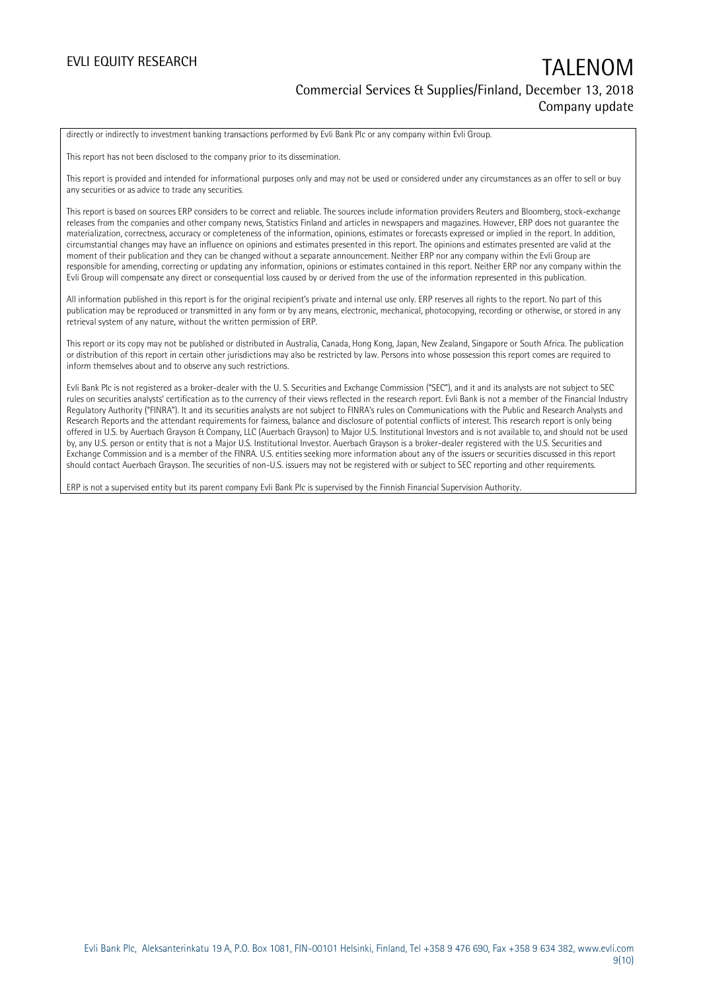## EVLI EQUITY RESEARCH TALENOM Commercial Services & Supplies/Finland, December 13, 2018 Company update

directly or indirectly to investment banking transactions performed by Evli Bank Plc or any company within Evli Group.

This report has not been disclosed to the company prior to its dissemination.

This report is provided and intended for informational purposes only and may not be used or considered under any circumstances as an offer to sell or buy any securities or as advice to trade any securities.

This report is based on sources ERP considers to be correct and reliable. The sources include information providers Reuters and Bloomberg, stock-exchange releases from the companies and other company news, Statistics Finland and articles in newspapers and magazines. However, ERP does not guarantee the materialization, correctness, accuracy or completeness of the information, opinions, estimates or forecasts expressed or implied in the report. In addition, circumstantial changes may have an influence on opinions and estimates presented in this report. The opinions and estimates presented are valid at the moment of their publication and they can be changed without a separate announcement. Neither ERP nor any company within the Evli Group are responsible for amending, correcting or updating any information, opinions or estimates contained in this report. Neither ERP nor any company within the Evli Group will compensate any direct or consequential loss caused by or derived from the use of the information represented in this publication.

All information published in this report is for the original recipient's private and internal use only. ERP reserves all rights to the report. No part of this publication may be reproduced or transmitted in any form or by any means, electronic, mechanical, photocopying, recording or otherwise, or stored in any retrieval system of any nature, without the written permission of ERP.

This report or its copy may not be published or distributed in Australia, Canada, Hong Kong, Japan, New Zealand, Singapore or South Africa. The publication or distribution of this report in certain other jurisdictions may also be restricted by law. Persons into whose possession this report comes are required to inform themselves about and to observe any such restrictions.

Evli Bank Plc is not registered as a broker-dealer with the U. S. Securities and Exchange Commission ("SEC"), and it and its analysts are not subject to SEC rules on securities analysts' certification as to the currency of their views reflected in the research report. Evli Bank is not a member of the Financial Industry Regulatory Authority ("FINRA"). It and its securities analysts are not subject to FINRA's rules on Communications with the Public and Research Analysts and Research Reports and the attendant requirements for fairness, balance and disclosure of potential conflicts of interest. This research report is only being offered in U.S. by Auerbach Grayson & Company, LLC (Auerbach Grayson) to Major U.S. Institutional Investors and is not available to, and should not be used by, any U.S. person or entity that is not a Major U.S. Institutional Investor. Auerbach Grayson is a broker-dealer registered with the U.S. Securities and Exchange Commission and is a member of the FINRA. U.S. entities seeking more information about any of the issuers or securities discussed in this report should contact Auerbach Grayson. The securities of non-U.S. issuers may not be registered with or subject to SEC reporting and other requirements.

ERP is not a supervised entity but its parent company Evli Bank Plc is supervised by the Finnish Financial Supervision Authority.